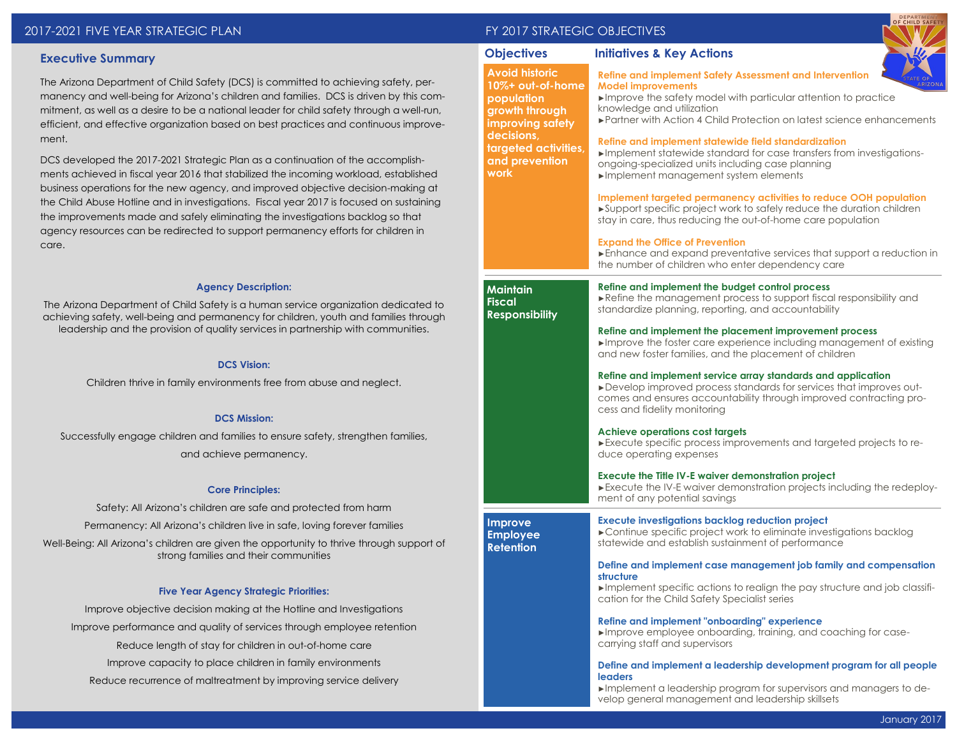| 2017-2021 FIVE YEAR STRATEGIC PLAN |  |
|------------------------------------|--|
|------------------------------------|--|

# **Executive Summary**

The Arizona Department of Child Safety (DCS) is committed to achieving safety, permanency and well-being for Arizona's children and families. DCS is driven by this commitment, as well as a desire to be a national leader for child safety through a well-run, efficient, and effective organization based on best practices and continuous improvement.

DCS developed the 2017-2021 Strategic Plan as a continuation of the accomplishments achieved in fiscal year 2016 that stabilized the incoming workload, established business operations for the new agency, and improved objective decision-making at the Child Abuse Hotline and in investigations. Fiscal year 2017 is focused on sustaining the improvements made and safely eliminating the investigations backlog so that agency resources can be redirected to support permanency efforts for children in care.

#### **Agency Description:**

The Arizona Department of Child Safety is a human service organization dedicated to achieving safety, well-being and permanency for children, youth and families through leadership and the provision of quality services in partnership with communities.

#### **DCS Vision:**

Children thrive in family environments free from abuse and neglect.

### **DCS Mission:**

Successfully engage children and families to ensure safety, strengthen families, and achieve permanency.

#### **Core Principles:**

Safety: All Arizona's children are safe and protected from harm Permanency: All Arizona's children live in safe, loving forever families Well-Being: All Arizona's children are given the opportunity to thrive through support of strong families and their communities

#### **Five Year Agency Strategic Priorities:**

Improve objective decision making at the Hotline and Investigations Improve performance and quality of services through employee retention Reduce length of stay for children in out-of-home care Improve capacity to place children in family environments Reduce recurrence of maltreatment by improving service delivery

# FY 2017 STRATEGIC OBJECTIVES

**Avoid historic 10%+ out-of-home population** 

### **Objectives Initiatives & Key Actions**

**Refine and implement Safety Assessment and Intervention Model improvements**



►Improve the safety model with particular attention to practice knowledge and utilization

| growth through<br>improving safety                                  | knowledge and utilization<br>▶ Partner with Action 4 Child Protection on latest science enhancements                                                                                                                                       |  |  |  |  |
|---------------------------------------------------------------------|--------------------------------------------------------------------------------------------------------------------------------------------------------------------------------------------------------------------------------------------|--|--|--|--|
| decisions,<br>targeted activities,<br>and prevention<br><b>work</b> | Refine and implement statewide field standardization<br>Implement statewide standard for case transfers from investigations-<br>ongoing-specialized units including case planning<br>Implement management system elements                  |  |  |  |  |
|                                                                     | Implement targeted permanency activities to reduce OOH population<br>►Support specific project work to safely reduce the duration children<br>stay in care, thus reducing the out-of-home care population                                  |  |  |  |  |
|                                                                     | <b>Expand the Office of Prevention</b><br>Enhance and expand preventative services that support a reduction in<br>the number of children who enter dependency care                                                                         |  |  |  |  |
| <b>Maintain</b><br><b>Fiscal</b><br><b>Responsibility</b>           | Refine and implement the budget control process<br>Refine the management process to support fiscal responsibility and<br>standardize planning, reporting, and accountability                                                               |  |  |  |  |
|                                                                     | Refine and implement the placement improvement process<br>$\blacktriangleright$ Improve the foster care experience including management of existing<br>and new foster families, and the placement of children                              |  |  |  |  |
|                                                                     | Refine and implement service array standards and application<br>► Develop improved process standards for services that improves out-<br>comes and ensures accountability through improved contracting pro-<br>cess and fidelity monitoring |  |  |  |  |
|                                                                     | <b>Achieve operations cost targets</b><br>Execute specific process improvements and targeted projects to re-<br>duce operating expenses                                                                                                    |  |  |  |  |
|                                                                     | <b>Execute the Title IV-E waiver demonstration project</b><br>Execute the IV-E waiver demonstration projects including the redeploy-<br>ment of any potential savings                                                                      |  |  |  |  |
| <b>Improve</b><br><b>Employee</b><br><b>Retention</b>               | <b>Execute investigations backlog reduction project</b><br>► Continue specific project work to eliminate investigations backlog<br>statewide and establish sustainment of performance                                                      |  |  |  |  |
|                                                                     | Define and implement case management job family and compensation<br>structure                                                                                                                                                              |  |  |  |  |

►Implement specific actions to realign the pay structure and job classification for the Child Safety Specialist series

**Refine and implement "onboarding" experience**

►Improve employee onboarding, training, and coaching for casecarrying staff and supervisors

### **Define and implement a leadership development program for all people leaders**

►Implement a leadership program for supervisors and managers to develop general management and leadership skillsets